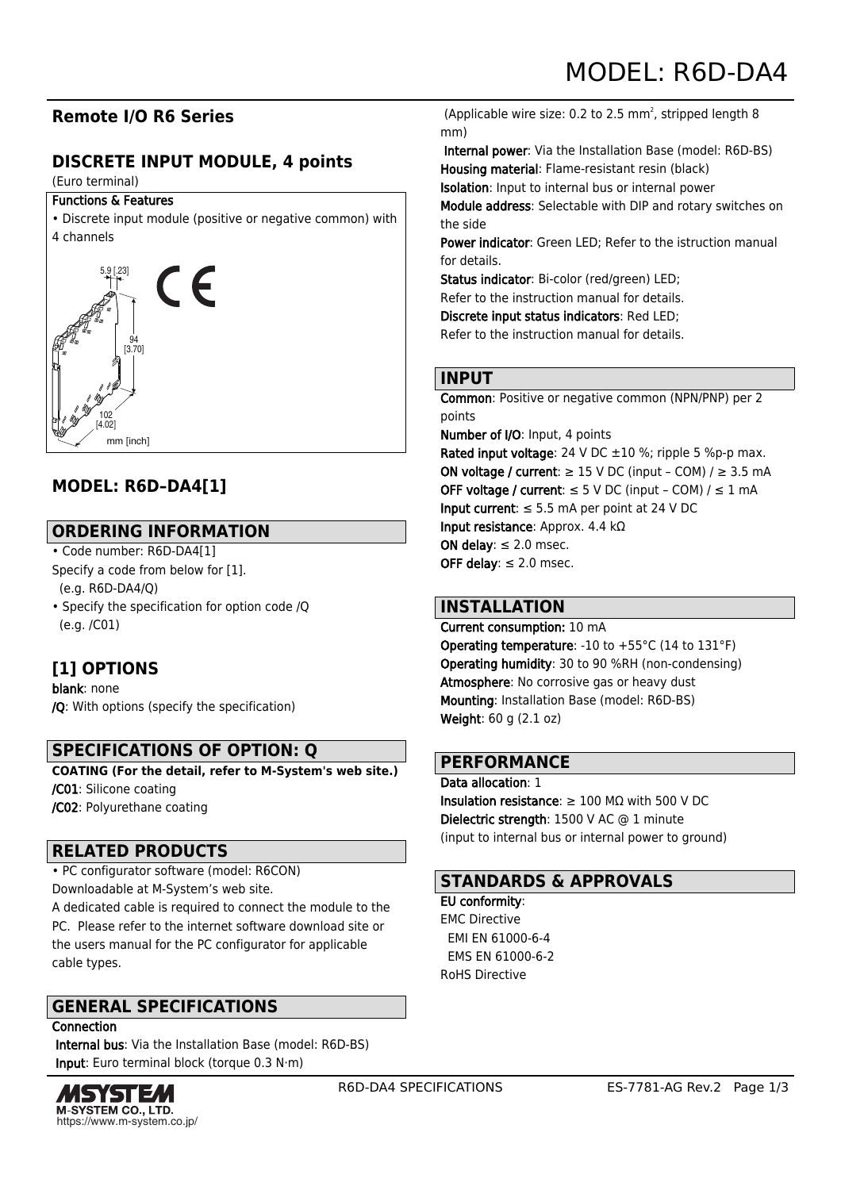# **Remote I/O R6 Series**

# **DISCRETE INPUT MODULE, 4 points**

#### (Euro terminal)

#### Functions & Features

• Discrete input module (positive or negative common) with 4 channels



# **MODEL: R6D–DA4[1]**

# **ORDERING INFORMATION**

- Code number: R6D-DA4[1] Specify a code from below for [1]. (e.g. R6D-DA4/Q)
- Specify the specification for option code /Q (e.g. /C01)

# **[1] OPTIONS**

blank: none /Q: With options (specify the specification)

# **SPECIFICATIONS OF OPTION: Q**

**COATING (For the detail, refer to M-System's web site.)** /C01: Silicone coating /C02: Polyurethane coating

# **RELATED PRODUCTS**

• PC configurator software (model: R6CON) Downloadable at M-System's web site. A dedicated cable is required to connect the module to the PC. Please refer to the internet software download site or the users manual for the PC configurator for applicable cable types.

# **GENERAL SPECIFICATIONS**

Connection

 Internal bus: Via the Installation Base (model: R6D-BS) Input: Euro terminal block (torque 0.3 N·m)



(Applicable wire size: 0.2 to 2.5 mm<sup>2</sup>, stripped length 8 mm)

 Internal power: Via the Installation Base (model: R6D-BS) Housing material: Flame-resistant resin (black) Isolation: Input to internal bus or internal power

Module address: Selectable with DIP and rotary switches on the side

Power indicator: Green LED; Refer to the istruction manual for details.

Status indicator: Bi-color (red/green) LED;

Refer to the instruction manual for details.

Discrete input status indicators: Red LED;

Refer to the instruction manual for details.

# **INPUT**

Common: Positive or negative common (NPN/PNP) per 2 points

Number of I/O: Input, 4 points

Rated input voltage: 24 V DC  $\pm 10$  %; ripple 5 %p-p max. ON voltage / current:  $\geq$  15 V DC (input – COM) /  $\geq$  3.5 mA OFF voltage / current:  $\leq$  5 V DC (input - COM) /  $\leq$  1 mA Input current:  $\leq$  5.5 mA per point at 24 V DC Input resistance: Approx. 4.4 kΩ ON delay:  $\leq 2.0$  msec. OFF delay:  $\leq 2.0$  msec.

#### **INSTALLATION**

Current consumption: 10 mA Operating temperature: -10 to +55°C (14 to 131°F) Operating humidity: 30 to 90 %RH (non-condensing) Atmosphere: No corrosive gas or heavy dust Mounting: Installation Base (model: R6D-BS) Weight: 60 g (2.1 oz)

# **PERFORMANCE**

Data allocation: 1 Insulation resistance:  $\geq 100$  MQ with 500 V DC Dielectric strength: 1500 V AC @ 1 minute (input to internal bus or internal power to ground)

# **STANDARDS & APPROVALS**

EU conformity: EMC Directive EMI EN 61000-6-4 EMS EN 61000-6-2 RoHS Directive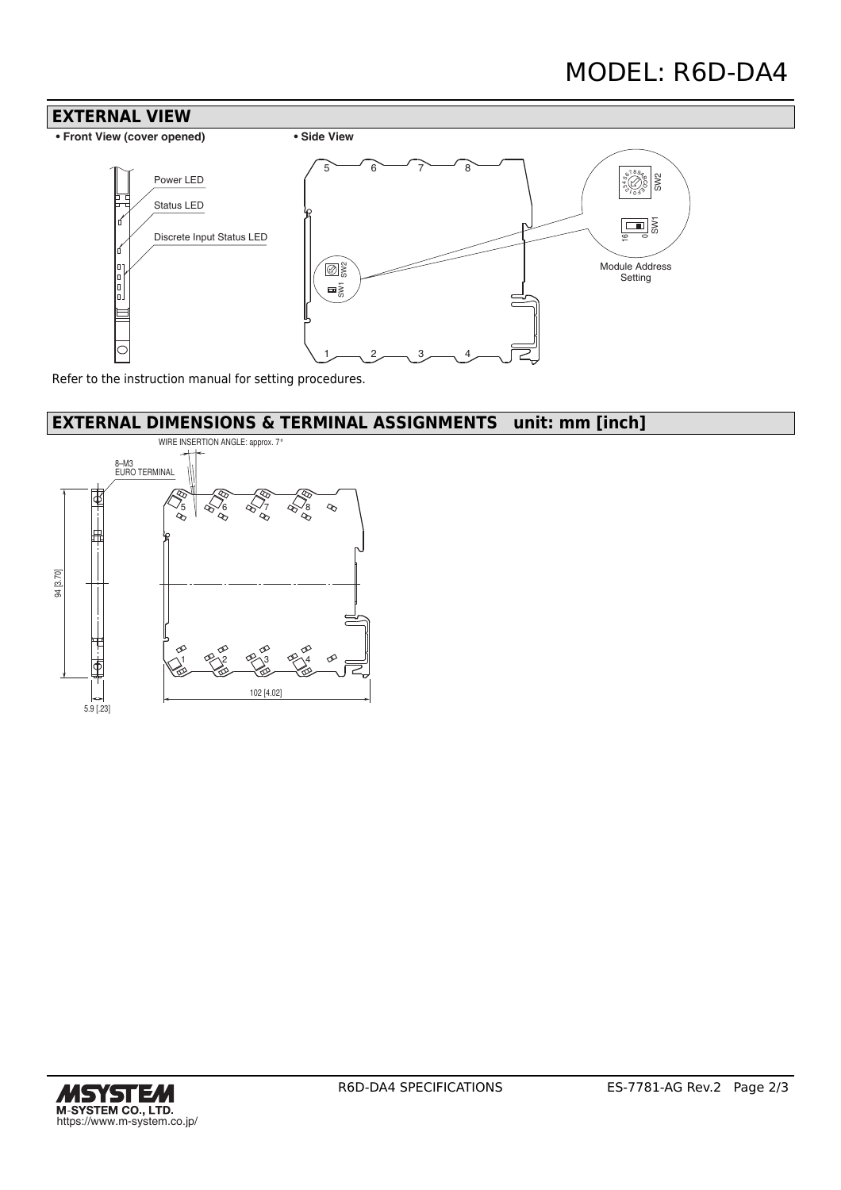

Refer to the instruction manual for setting procedures.

# **EXTERNAL DIMENSIONS & TERMINAL ASSIGNMENTS unit: mm [inch]**